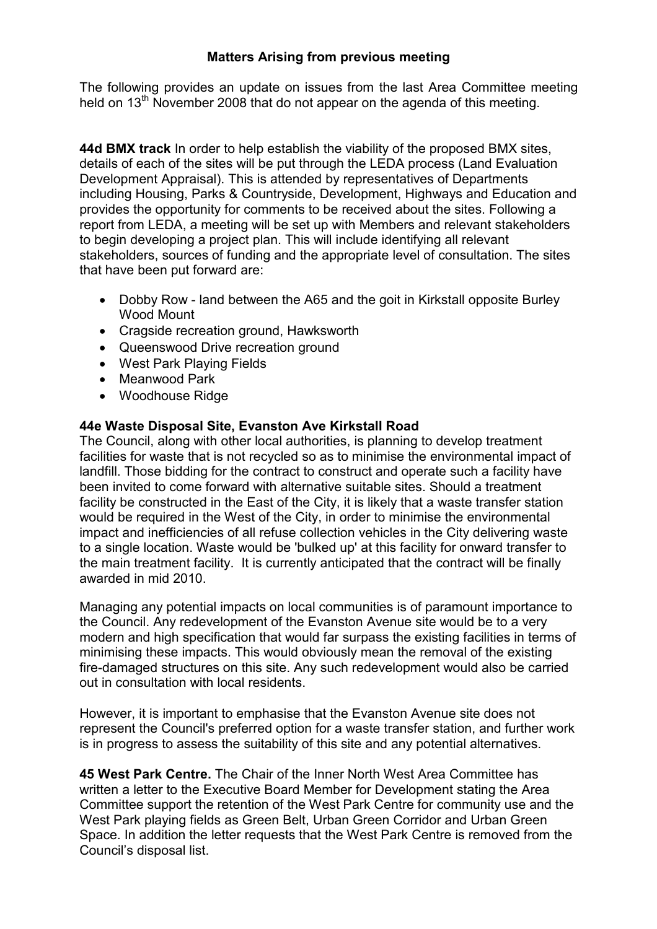## Matters Arising from previous meeting

The following provides an update on issues from the last Area Committee meeting held on 13<sup>th</sup> November 2008 that do not appear on the agenda of this meeting.

44d BMX track In order to help establish the viability of the proposed BMX sites, details of each of the sites will be put through the LEDA process (Land Evaluation Development Appraisal). This is attended by representatives of Departments including Housing, Parks & Countryside, Development, Highways and Education and provides the opportunity for comments to be received about the sites. Following a report from LEDA, a meeting will be set up with Members and relevant stakeholders to begin developing a project plan. This will include identifying all relevant stakeholders, sources of funding and the appropriate level of consultation. The sites that have been put forward are:

- Dobby Row land between the A65 and the goit in Kirkstall opposite Burley Wood Mount
- Cragside recreation ground, Hawksworth
- Queenswood Drive recreation ground
- West Park Playing Fields
- Meanwood Park
- Woodhouse Ridge

## 44e Waste Disposal Site, Evanston Ave Kirkstall Road

The Council, along with other local authorities, is planning to develop treatment facilities for waste that is not recycled so as to minimise the environmental impact of landfill. Those bidding for the contract to construct and operate such a facility have been invited to come forward with alternative suitable sites. Should a treatment facility be constructed in the East of the City, it is likely that a waste transfer station would be required in the West of the City, in order to minimise the environmental impact and inefficiencies of all refuse collection vehicles in the City delivering waste to a single location. Waste would be 'bulked up' at this facility for onward transfer to the main treatment facility. It is currently anticipated that the contract will be finally awarded in mid 2010.

Managing any potential impacts on local communities is of paramount importance to the Council. Any redevelopment of the Evanston Avenue site would be to a very modern and high specification that would far surpass the existing facilities in terms of minimising these impacts. This would obviously mean the removal of the existing fire-damaged structures on this site. Any such redevelopment would also be carried out in consultation with local residents.

However, it is important to emphasise that the Evanston Avenue site does not represent the Council's preferred option for a waste transfer station, and further work is in progress to assess the suitability of this site and any potential alternatives.

45 West Park Centre. The Chair of the Inner North West Area Committee has written a letter to the Executive Board Member for Development stating the Area Committee support the retention of the West Park Centre for community use and the West Park playing fields as Green Belt, Urban Green Corridor and Urban Green Space. In addition the letter requests that the West Park Centre is removed from the Council's disposal list.